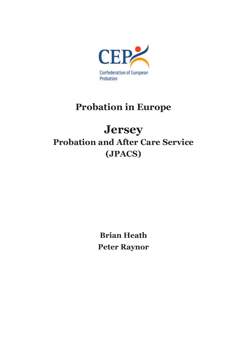

# **Probation in Europe**

# **Jersey Probation and After Care Service (JPACS)**

**Brian Heath Peter Raynor**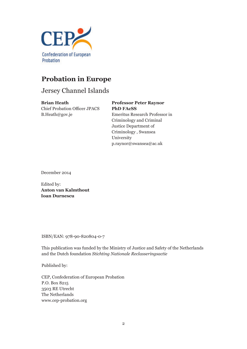

# **Probation in Europe**

# Jersey Channel Islands

**Brian Heath** Chief Probation Officer JPACS B.Heath@gov.je

# **Professor Peter Raynor**

**PhD FAcSS** Emeritus Research Professor in Criminology and Criminal Justice Department of Criminology , Swansea University p.raynor@swansea@ac.uk

December 2014

Edited by: **Anton van Kalmthout Ioan Durnescu**

ISBN/EAN: 978-90-820804-0-7

This publication was funded by the Ministry of Justice and Safety of the Netherlands and the Dutch foundation *Stichting Nationale Reclasseringsactie*

Published by:

CEP, Confederation of European Probation P.O. Box 8215 3503 RE Utrecht The Netherlands www.cep-probation.org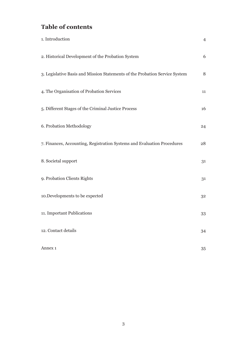# **Table of contents**

| 1. Introduction                                                             | $\overline{4}$ |
|-----------------------------------------------------------------------------|----------------|
| 2. Historical Development of the Probation System                           | 6              |
| 3. Legislative Basis and Mission Statements of the Probation Service System | 8              |
| 4. The Organisation of Probation Services                                   | 11             |
| 5. Different Stages of the Criminal Justice Process                         | 16             |
| 6. Probation Methodology                                                    | 24             |
| 7. Finances, Accounting, Registration Systems and Evaluation Procedures     | 28             |
| 8. Societal support                                                         | 31             |
| 9. Probation Clients Rights                                                 | 31             |
| 10. Developments to be expected                                             | 32             |
| 11. Important Publications                                                  | 33             |
| 12. Contact details                                                         | 34             |
| Annex 1                                                                     | 35             |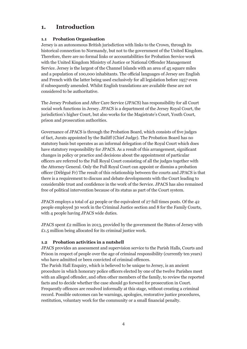# **1. Introduction**

#### **1.1 Probation Organisation**

Jersey is an autonomous British jurisdiction with links to the Crown, through its historical connection to Normandy, but not to the government of the United Kingdom. Therefore, there are no formal links or accountabilities for Probation Service work with the United Kingdom Ministry of Justice or National Offender Management Service. Jersey is the largest of the Channel Islands with an area of 45 square miles and a population of 100,000 inhabitants. The official languages of Jersey are English and French with the latter being used exclusively for all legislation before 1957 even if subsequently amended. Whilst English translations are available these are not considered to be authoritative.

The Jersey Probation and After Care Service (JPACS) has responsibility for all Court social work functions in Jersey. JPACS is a department of the Jersey Royal Court, the jurisdiction's higher Court, but also works for the Magistrate's Court, Youth Court, prison and prosecution authorities.

Governance of JPACS is through the Probation Board, which consists of five judges of fact, Jurats appointed by the Bailiff (Chief Judge). The Probation Board has no statutory basis but operates as an informal delegation of the Royal Court which does have statutory responsibility for JPACS. As a result of this arrangement, significant changes in policy or practice and decisions about the appointment of particular officers are referred to the Full Royal Court consisting of all the judges together with the Attorney General. Only the Full Royal Court can appoint or dismiss a probation officer (Délégué Fr) The result of this relationship between the courts and JPACS is that there is a requirement to discuss and debate developments with the Court leading to considerable trust and confidence in the work of the Service. JPACS has also remained free of political intervention because of its status as part of the Court system.

JPACS employs a total of 42 people or the equivalent of 27 full times posts. Of the 42 people employed 30 work in the Criminal Justice section and 8 for the Family Courts, with 4 people having JPACS wide duties.

JPACS spent £2 million in 2013, provided by the government the States of Jersey with £1.5 million being allocated for its criminal justice work.

#### **1.2 Probation activities in a nutshell**

JPACS provides an assessment and supervision service to the Parish Halls, Courts and Prison in respect of people over the age of criminal responsibility (currently ten years) who have admitted or been convicted of criminal offences.

The Parish Hall Enquiry, which is believed to be unique to Jersey, is an ancient procedure in which honorary police officers elected by one of the twelve Parishes meet with an alleged offender, and often other members of the family, to review the reported facts and to decide whether the case should go forward for prosecution in Court. Frequently offences are resolved informally at this stage, without creating a criminal record. Possible outcomes can be warnings, apologies, restorative justice procedures, restitution, voluntary work for the community or a small financial penalty.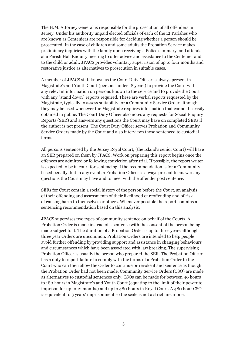The H.M. Attorney General is responsible for the prosecution of all offenders in Jersey. Under his authority unpaid elected officials of each of the 12 Parishes who are known as Centeniers are responsible for deciding whether a person should be prosecuted. In the case of children and some adults the Probation Service makes preliminary inquiries with the family upon receiving a Police summary, and attends at a Parish Hall Enquiry meeting to offer advice and assistance to the Centenier and to the child or adult. JPACS provides voluntary supervision of up to four months and restorative justice as alternatives to prosecution in suitable cases.

A member of JPACS staff known as the Court Duty Officer is always present in Magistrate's and Youth Court (persons under 18 years) to provide the Court with any relevant information on persons known to the service and to provide the Court with any "stand down" reports required. These are verbal reports requested by the Magistrate, typically to assess suitability for a Community Service Order although they may be used whenever the Magistrate requires information that cannot be easily obtained in public. The Court Duty Officer also notes any requests for Social Enquiry Reports (SER) and answers any questions the Court may have on completed SERs if the author is not present. The Court Duty Officer serves Probation and Community Service Orders made by the Court and also interviews those sentenced to custodial terms.

All persons sentenced by the Jersey Royal Court, (the Island's senior Court) will have an SER prepared on them by JPACS. Work on preparing this report begins once the offences are admitted or following conviction after trial. If possible, the report writer is expected to be in court for sentencing if the recommendation is for a Community based penalty, but in any event, a Probation Officer is always present to answer any questions the Court may have and to meet with the offender post sentence.

SERs for Court contain a social history of the person before the Court, an analysis of their offending and assessments of their likelihood of reoffending and of risk of causing harm to themselves or others. Whenever possible the report contains a sentencing recommendation based on this analysis.

JPACS supervises two types of community sentence on behalf of the Courts. A Probation Order is made instead of a sentence with the consent of the person being made subject to it. The duration of a Probation Order is up to three years although three year Orders are uncommon. Probation Orders are intended to help people avoid further offending by providing support and assistance in changing behaviours and circumstances which have been associated with law breaking. The supervising Probation Officer is usually the person who prepared the SER. The Probation Officer has a duty to report failure to comply with the terms of a Probation Order to the Court who can then allow the Order to continue or revoke it and sentence as though the Probation Order had not been made. Community Service Orders (CSO) are made as alternatives to custodial sentences only. CSOs can be made for between 40 hours to 180 hours in Magistrate's and Youth Court (equating to the limit of their power to imprison for up to 12 months) and up to 480 hours in Royal Court. A 480 hour CSO is equivalent to 3 years' imprisonment so the scale is not a strict linear one.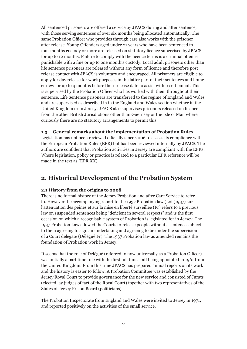All sentenced prisoners are offered a service by JPACS during and after sentence, with those serving sentences of over six months being allocated automatically. The same Probation Officer who provides through care also works with the prisoner after release. Young Offenders aged under 21 years who have been sentenced to four months custody or more are released on statutory licence supervised by JPACS for up to 12 months. Failure to comply with the licence terms is a criminal offence punishable with a fine or up to one month's custody. Local adult prisoners other than life sentence prisoners are released without any form of licence and therefore post release contact with JPACS is voluntary and encouraged. All prisoners are eligible to apply for day release for work purposes in the latter part of their sentences and home curfew for up to 4 months before their release date to assist with resettlement. This is supervised by the Probation Officer who has worked with them throughout their sentence. Life Sentence prisoners are transferred to the regime of England and Wales and are supervised as described in in the England and Wales section whether in the United Kingdom or in Jersey. JPACS also supervises prisoners released on licence from the other British Jurisdictions other than Guernsey or the Isle of Man where curiously there are no statutory arrangements to permit this.

#### **1.3 General remarks about the implementation of Probation Rules**

Legislation has not been reviewed officially since 2006 to assess its compliance with the European Probation Rules (EPR) but has been reviewed internally by JPACS. The authors are confident that Probation activities in Jersey are compliant with the EPRs. Where legislation, policy or practice is related to a particular EPR reference will be made in the text as (EPR XX)

## **2. Historical Development of the Probation System**

#### **2.1 History from the origins to 2008**

There is no formal history of the Jersey Probation and after Care Service to refer to. However the accompanying report to the 1937 Probation law (Loi (1937) sur l'atténuation des peines et sur la mise en liberté surveillée (Fr) refers to a previous law on suspended sentences being "deficient in several respects" and is the first occasion on which a recognisable system of Probation is legislated for in Jersey. The 1937 Probation Law allowed the Courts to release people without a sentence subject to them agreeing to sign an undertaking and agreeing to be under the supervision of a Court delegate (Délégué Fr). The 1937 Probation law as amended remains the foundation of Probation work in Jersey.

It seems that the role of Délégué (referred to now universally as a Probation Officer) was initially a part time role with the first full time staff being appointed in 1961 from the United Kingdom. From this time JPACS has prepared annual reports on its work and the history is easier to follow. A Probation Committee was established by the Jersey Royal Court to provide governance for the new service and consisted of Jurats (elected lay judges of fact of the Royal Court) together with two representatives of the States of Jersey Prison Board (politicians).

The Probation Inspectorate from England and Wales were invited to Jersey in 1971, and reported positively on the activities of the small service.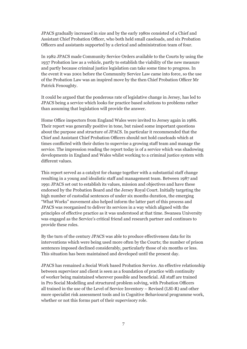JPACS gradually increased in size and by the early 1980s consisted of a Chief and Assistant Chief Probation Officer, who both held small caseloads, and six Probation Officers and assistants supported by a clerical and administration team of four.

In 1982 JPACS made Community Service Orders available to the Courts by using the 1937 Probation law as a vehicle, partly to establish the viability of the new measure and partly because criminal justice legislation can take some time to progress. In the event it was 2001 before the Community Service Law came into force, so the use of the Probation Law was an inspired move by the then Chief Probation Officer Mr Patrick Fenoughty.

It could be argued that the ponderous rate of legislative change in Jersey, has led to JPACS being a service which looks for practice based solutions to problems rather than assuming that legislation will provide the answer.

Home Office inspectors from England Wales were invited to Jersey again in 1986. Their report was generally positive in tone, but raised some important questions about the purpose and structure of JPACS. In particular it recommended that the Chief and Assistant Chief Probation Officers should not hold caseloads which at times conflicted with their duties to supervise a growing staff team and manage the service. The impression reading the report today is of a service which was shadowing developments in England and Wales whilst working to a criminal justice system with different values.

This report served as a catalyst for change together with a substantial staff change resulting in a young and idealistic staff and management team. Between 1987 and 1991 JPACS set out to establish its values, mission and objectives and have these endorsed by the Probation Board and the Jersey Royal Court. Initially targeting the high number of custodial sentences of under six months duration, the emerging "What Works" movement also helped inform the latter part of this process and JPACS was reorganised to deliver its services in a way which aligned with the principles of effective practice as it was understood at that time. Swansea University was engaged as the Service's critical friend and research partner and continues to provide these roles.

By the turn of the century JPACS was able to produce effectiveness data for its interventions which were being used more often by the Courts; the number of prison sentences imposed declined considerably, particularly those of six months or less. This situation has been maintained and developed until the present day.

JPACS has remained a Social Work based Probation Service. An effective relationship between supervisor and client is seen as a foundation of practice with continuity of worker being maintained wherever possible and beneficial. All staff are trained in Pro Social Modelling and structured problem solving, with Probation Officers all trained in the use of the Level of Service Inventory – Revised (LSI-R) and other more specialist risk assessment tools and in Cognitive Behavioural programme work, whether or not this forms part of their supervisory role.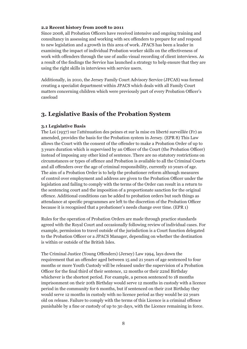#### **2.2 Recent history from 2008 to 2011**

Since 2008, all Probation Officers have received intensive and ongoing training and consultancy in assessing and working with sex offenders to prepare for and respond to new legislation and a growth in this area of work. JPACS has been a leader in examining the impact of individual Probation worker skills on the effectiveness of work with offenders through the use of audio visual recording of client interviews. As a result of the findings the Service has launched a strategy to help ensure that they are using the right skills in interviews with service users.

Additionally, in 2010, the Jersey Family Court Advisory Service (JFCAS) was formed creating a specialist department within JPACS which deals with all Family Court matters concerning children which were previously part of every Probation Officer's caseload

## **3. Legislative Basis of the Probation System**

#### **3.1 Legislative Basis**

The Loi (1937) sur l'atténuation des peines et sur la mise en liberté surveillée (Fr) as amended, provides the basis for the Probation system in Jersey. (EPR 8) This Law allows the Court with the consent of the offender to make a Probation Order of up to 3 years duration which is supervised by an Officer of the Court (the Probation Officer) instead of imposing any other kind of sentence. There are no statutory restrictions on circumstances or types of offence and Probation is available to all the Criminal Courts and all offenders over the age of criminal responsibility, currently 10 years of age. The aim of a Probation Order is to help the probationer reform although measures of control over employment and address are given to the Probation Officer under the legislation and failing to comply with the terms of the Order can result in a return to the sentencing court and the imposition of a proportionate sanction for the original offence. Additional conditions can be added to probation orders but such things as attendance at specific programmes are left to the discretion of the Probation Officer because it is recognised that a probationer's needs change over time. (EPR 1)

Rules for the operation of Probation Orders are made through practice standards agreed with the Royal Court and occasionally following review of individual cases. For example, permission to travel outside of the jurisdiction is a Court function delegated to the Probation Officer or a JPACS Manager, depending on whether the destination is within or outside of the British Isles.

The Criminal Justice (Young Offenders) (Jersey) Law 1994, lays down the requirement that an offender aged between 15 and 21 years of age sentenced to four months or more Youth Custody will be released under the supervision of a Probation Officer for the final third of their sentence, 12 months or their 22nd Birthday whichever is the shortest period. For example, a person sentenced to 18 months imprisonment on their 20th Birthday would serve 12 months in custody with a licence period in the community for 6 months, but if sentenced on their 21st Birthday they would serve 12 months in custody with no licence period as they would be 22 years old on release. Failure to comply with the terms of this Licence is a criminal offence punishable by a fine or custody of up to 30 days, with the Licence remaining in force.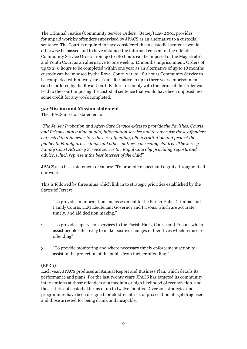The Criminal Justice (Community Service Orders) (Jersey) Law 2001, provides for unpaid work by offenders supervised by JPACS as an alternative to a custodial sentence. The Court is required to have considered that a custodial sentence would otherwise be passed and to have obtained the informed consent of the offender. Community Service Orders from 40 to 180 hours can be imposed in the Magistrate's and Youth Court as an alternative to one week to 12 months imprisonment. Orders of up to 240 hours to be completed within one year as an alternative of up to 18 months custody can be imposed by the Royal Court. 240 to 480 hours Community Service to be completed within two years as an alternative to up to three years imprisonment can be ordered by the Royal Court. Failure to comply with the terms of the Order can lead to the court imposing the custodial sentence that would have been imposed less some credit for any work completed.

#### **3.2 Mission and Mission statement**

The JPACS mission statement is:

*"The Jersey Probation and After-Care Service exists to provide the Parishes, Courts and Prisons with a high quality information service and to supervise those offenders entrusted to it in order to reduce re-offending, allow restitution and protect the public. In Family proceedings and other matters concerning children, The Jersey Family Court Advisory Service serves the Royal Court by providing reports and advice, which represent the best interest of the child"*

JPACS also has a statement of values: "To promote respect and dignity throughout all our work"

This is followed by three aims which link in to strategic priorities established by the States of Jersey:

- 1. "To provide an information and assessment to the Parish Halls, Criminal and Family Courts, H.M Lieutenant Governor and Prisons, which are accurate, timely, and aid decision making."
- 2. "To provide supervision services to the Parish Halls, Courts and Prisons which assist people effectively to make positive changes in their lives which reduce re offending"
- 3. "To provide monitoring and where necessary timely enforcement action to assist in the protection of the public from further offending."

#### (EPR 1)

Each year, JPACS produces an Annual Report and Business Plan, which details its performance and plans. For the last twenty years JPACS has targeted its community interventions at those offenders at a medium or high likelihood of reconviction, and those at risk of custodial terms of up to twelve months. Diversion strategies and programmes have been designed for children at risk of prosecution, illegal drug users and those arrested for being drunk and incapable.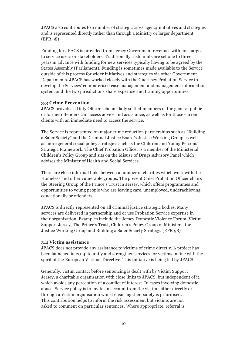JPACS also contributes to a number of strategic cross agency initiatives and strategies and is represented directly rather than through a Ministry or larger department. (EPR 98)

Funding for JPACS is provided from Jersey Government revenues with no charges to service users or stakeholders. Traditionally cash limits are set one to three years in advance with funding for new services typically having to be agreed by the States Assembly (Parliament). Funding is sometimes made available to the Service outside of this process for wider initiatives and strategies via other Government Departments. JPACS has worked closely with the Guernsey Probation Service to develop the Services' computerised case management and management information system and the two jurisdictions share expertise and training opportunities.

#### **3.3 Crime Prevention**

JPACS provides a Duty Officer scheme daily so that members of the general public or former offenders can access advice and assistance, as well as for those current clients with an immediate need to access the service.

The Service is represented on major crime reduction partnerships such as "Building a Safer Society" and the Criminal Justice Board's Justice Working Group as well as more general social policy strategies such as the Children and Young Persons' Strategic Framework. The Chief Probation Officer is a member of the Ministerial Children's Policy Group and sits on the Misuse of Drugs Advisory Panel which advises the Minister of Health and Social Services.

There are close informal links between a number of charities which work with the Homeless and other vulnerable groups. The present Chief Probation Officer chairs the Steering Group of the Prince's Trust in Jersey, which offers programmes and opportunities to young people who are leaving care, unemployed, underachieving educationally or offenders.

JPACS is directly represented on all criminal justice strategic bodies. Many services are delivered in partnership and or use Probation Service expertise in their organisation. Examples include the Jersey Domestic Violence Forum, Victim Support Jersey, The Prince's Trust, Children's Policy Group of Ministers, the Justice Working Group and Building a Safer Society Strategy. (EPR 98)

#### **3.4 Victim assistance**

JPACS does not provide any assistance to victims of crime directly. A project has been launched in 2014, to unify and strengthen services for victims in line with the spirit of the European Victims' Directive. This initiative is being led by JPACS.

Generally, victim contact before sentencing is dealt with by Victim Support Jersey, a charitable organisation with close links to JPACS, but independent of it, which avoids any perception of a conflict of interest. In cases involving domestic abuse, Service policy is to invite an account from the victim, either directly or through a Victim organisation whilst ensuring their safety is prioritised. This contribution helps to inform the risk assessment but victims are not asked to comment on particular sentences. Where appropriate, referral is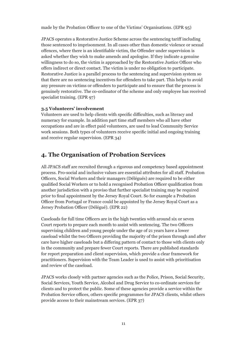made by the Probation Officer to one of the Victims' Organisations. (EPR 95)

JPACS operates a Restorative Justice Scheme across the sentencing tariff including those sentenced to imprisonment. In all cases other than domestic violence or sexual offences, where there is an identifiable victim, the Offender under supervision is asked whether they wish to make amends and apologise. If they indicate a genuine willingness to do so, the victim is approached by the Restorative Justice Officer who offers indirect or direct contact. The victim is under no obligation to participate. Restorative Justice is a parallel process to the sentencing and supervision system so that there are no sentencing incentives for offenders to take part. This helps to avoid any pressure on victims or offenders to participate and to ensure that the process is genuinely restorative. The co-ordinator of the scheme and only employee has received specialist training. (EPR 97)

#### **3.5 Volunteers' involvement**

Volunteers are used to help clients with specific difficulties, such as literacy and numeracy for example. In addition part time staff members who all have other occupations and are in effect paid volunteers, are used to lead Community Service work sessions. Both types of volunteers receive specific initial and ongoing training and receive regular supervision. (EPR 34)

# **4. The Organisation of Probation Services**

All JPACS staff are recruited through a rigorous and competency based appointment process. Pro-social and inclusive values are essential attributes for all staff. Probation Officers, Social Workers and their managers (Délégués) are required to be either qualified Social Workers or to hold a recognised Probation Officer qualification from another jurisdiction with a proviso that further specialist training may be required prior to final appointment by the Jersey Royal Court. So for example a Probation Officer from Portugal or France could be appointed by the Jersey Royal Court as a Jersey Probation Officer (Délégué). (EPR 22)

Caseloads for full time Officers are in the high twenties with around six or seven Court reports to prepare each month to assist with sentencing. The two Officers supervising children and young people under the age of 21 years have a lower caseload whilst the two Officers providing the majority of the prison through and after care have higher caseloads but a differing pattern of contact to those with clients only in the community and prepare fewer Court reports. There are published standards for report preparation and client supervision, which provide a clear framework for practitioners. Supervision with the Team Leader is used to assist with prioritisation and review of the caseload.

JPACS works closely with partner agencies such as the Police, Prison, Social Security, Social Services, Youth Service, Alcohol and Drug Service to co-ordinate services for clients and to protect the public. Some of these agencies provide a service within the Probation Service offices, others specific programmes for JPACS clients, whilst others provide access to their mainstream services. (EPR 37)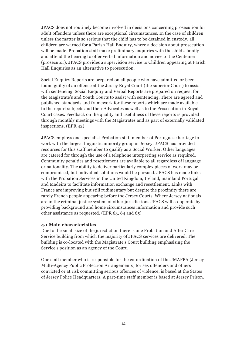JPACS does not routinely become involved in decisions concerning prosecution for adult offenders unless there are exceptional circumstances. In the case of children unless the matter is so serious that the child has to be detained in custody, all children are warned for a Parish Hall Enquiry, where a decision about prosecution will be made. Probation staff make preliminary enquiries with the child's family and attend the hearing to offer verbal information and advice to the Centenier (prosecutor). JPACS provides a supervision service to Children appearing at Parish Hall Enquiries as an alternative to prosecution.

Social Enquiry Reports are prepared on all people who have admitted or been found guilty of an offence at the Jersey Royal Court (the superior Court) to assist with sentencing. Social Enquiry and Verbal Reports are prepared on request for the Magistrate's and Youth Courts to assist with sentencing. There are agreed and published standards and framework for these reports which are made available to the report subjects and their Advocates as well as to the Prosecution in Royal Court cases. Feedback on the quality and usefulness of these reports is provided through monthly meetings with the Magistrates and as part of externally validated inspections. (EPR 42)

JPACS employs one specialist Probation staff member of Portuguese heritage to work with the largest linguistic minority group in Jersey. JPACS has provided resources for this staff member to qualify as a Social Worker. Other languages are catered for through the use of a telephone interpreting service as required. Community penalties and resettlement are available to all regardless of language or nationality. The ability to deliver particularly complex pieces of work may be compromised, but individual solutions would be pursued. JPACS has made links with the Probation Services in the United Kingdom, Ireland, mainland Portugal and Madeira to facilitate information exchange and resettlement. Links with France are improving but still rudimentary but despite the proximity there are rarely French people appearing before the Jersey Courts. Where Jersey nationals are in the criminal justice system of other jurisdictions JPACS will co-operate by providing background and home circumstances information and provide such other assistance as requested. (EPR 63, 64 and 65)

#### **4.1 Main characteristics**

Due to the small size of the jurisdiction there is one Probation and After Care Service building from which the majority of JPACS services are delivered. The building is co-located with the Magistrate's Court building emphasising the Service's position as an agency of the Court.

One staff member who is responsible for the co-ordination of the JMAPPA (Jersey Multi-Agency Public Protection Arrangements) for sex offenders and others convicted or at risk committing serious offences of violence, is based at the States of Jersey Police Headquarters. A part-time staff member is based at Jersey Prison.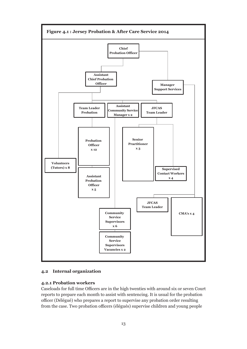

#### **4.2 Internal organization**

#### **4.2.1 Probation workers**

Caseloads for full time Officers are in the high twenties with around six or seven Court reports to prepare each month to assist with sentencing. It is usual for the probation officer (Délégué) who prepares a report to supervise any probation order resulting from the case. Two probation officers (élégués) supervise children and young people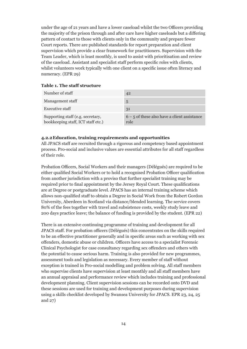under the age of 21 years and have a lower caseload whilst the two Officers providing the majority of the prison through and after care have higher caseloads but a differing pattern of contact to those with clients only in the community and prepare fewer Court reports. There are published standards for report preparation and client supervision which provide a clear framework for practitioners. Supervision with the Team Leader, which is least monthly, is used to assist with prioritisation and review of the caseload. Assistant and specialist staff perform specific roles with clients, whilst volunteers work typically with one client on a specific issue often literacy and numeracy. (EPR 29)

#### **Table 1. The staff structure**

| Number of staff                                                         | 42                                                     |
|-------------------------------------------------------------------------|--------------------------------------------------------|
| Management staff                                                        | 5                                                      |
| <b>Executive staff</b>                                                  | 31                                                     |
| Supporting staff (e.g. secretary,<br>bookkeeping staff, ICT staff etc.) | $6 - 5$ of these also have a client assistance<br>role |

#### **4.2.2Education, training requirements and opportunities**

All JPACS staff are recruited through a rigorous and competency based appointment process. Pro-social and inclusive values are essential attributes for all staff regardless of their role.

Probation Officers, Social Workers and their managers (Délégués) are required to be either qualified Social Workers or to hold a recognised Probation Officer qualification from another jurisdiction with a proviso that further specialist training may be required prior to final appointment by the Jersey Royal Court. These qualifications are at Degree or postgraduate level. JPACS has an internal training scheme which allows non-qualified staff to obtain a Degree in Social Work from the Robert Gordon University, Aberdeen in Scotland via distance/blended learning. The service covers 80% of the fees together with travel and subsistence costs, weekly study leave and 200 days practice leave; the balance of funding is provided by the student. (EPR 22)

There is an extensive continuing programme of training and development for all JPACS staff. For probation officers (Délégués) this concentrates on the skills required to be an effective practitioner generally and in specific areas such as working with sex offenders, domestic abuse or children. Officers have access to a specialist Forensic Clinical Psychologist for case consultancy regarding sex offenders and others with the potential to cause serious harm. Training is also provided for new programmes, assessment tools and legislation as necessary. Every member of staff without exception is trained in Pro-social modelling and problem solving. All staff members who supervise clients have supervision at least monthly and all staff members have an annual appraisal and performance review which includes training and professional development planning. Client supervision sessions can be recorded onto DVD and these sessions are used for training and development purposes during supervision using a skills checklist developed by Swansea University for JPACS. EPR 23, 24, 25 and 27)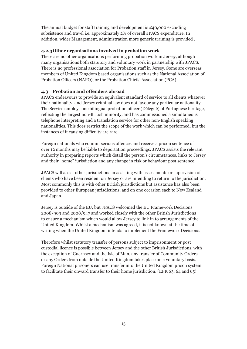The annual budget for staff training and development is £40,000 excluding subsistence and travel i.e. approximately 2% of overall JPACS expenditure. In addition, wider Management, administration more generic training is provided .

#### **4.2.3Other organisations involved in probation work**

There are no other organisations performing probation work in Jersey, although many organisations both statutory and voluntary work in partnership with JPACS. There is no professional association for Probation staff in Jersey. Some are overseas members of United Kingdom based organisations such as the National Association of Probation Officers (NAPO), or the Probation Chiefs' Association (PCA)

#### **4.3 Probation and offenders abroad**

JPACS endeavours to provide an equivalent standard of service to all clients whatever their nationality, and Jersey criminal law does not favour any particular nationality. The Service employs one bilingual probation officer (Délégué) of Portuguese heritage, reflecting the largest non-British minority, and has commissioned a simultaneous telephone interpreting and a translation service for other non-English speaking nationalities. This does restrict the scope of the work which can be performed, but the instances of it causing difficulty are rare.

Foreign nationals who commit serious offences and receive a prison sentence of over 12 months may be liable to deportation proceedings. JPACS assists the relevant authority in preparing reports which detail the person's circumstances, links to Jersey and their "home" jurisdiction and any change in risk or behaviour post sentence.

JPACS will assist other jurisdictions in assisting with assessments or supervision of clients who have been resident on Jersey or are intending to return to the jurisdiction. Most commonly this is with other British jurisdictions but assistance has also been provided to other European jurisdictions, and on one occasion each to New Zealand and Japan.

Jersey is outside of the EU, but JPACS welcomed the EU Framework Decisions 2008/909 and 2008/947 and worked closely with the other British Jurisdictions to ensure a mechanism which would allow Jersey to link in to arrangements of the United Kingdom. Whilst a mechanism was agreed, it is not known at the time of writing when the United Kingdom intends to implement the Framework Decisions.

Therefore whilst statutory transfer of persons subject to imprisonment or post custodial licence is possible between Jersey and the other British Jurisdictions, with the exception of Guernsey and the Isle of Man, any transfer of Community Orders or any Orders from outside the United Kingdom takes place on a voluntary basis. Foreign National prisoners can use transfer into the United Kingdom prison system to facilitate their onward transfer to their home jurisdiction. (EPR 63, 64 and 65)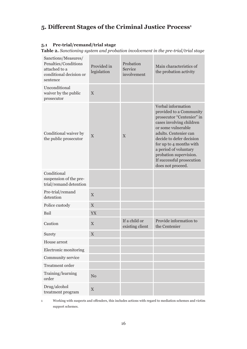# **5. Different Stages of the Criminal Justice Process<sup>1</sup>**

#### **5.1 Pre-trial/remand/trial stage**

**Table 2.** *Sanctioning system and probation involvement in the pre-trial/trial stage*

| Sanctions/Measures/<br>Penalties/Conditions<br>attached to a<br>conditional decision or<br>sentence | Provided in<br>legislation | Probation<br>Service<br>involvement | Main characteristics of<br>the probation activity                                                                                                                                                                                                                                                                 |
|-----------------------------------------------------------------------------------------------------|----------------------------|-------------------------------------|-------------------------------------------------------------------------------------------------------------------------------------------------------------------------------------------------------------------------------------------------------------------------------------------------------------------|
| Unconditional<br>waiver by the public<br>prosecutor                                                 | $\overline{X}$             |                                     |                                                                                                                                                                                                                                                                                                                   |
| Conditional waiver by<br>the public prosecutor                                                      | X                          | X                                   | Verbal information<br>provided to a Community<br>prosecutor "Centenier" in<br>cases involving children<br>or some vulnerable<br>adults. Centenier can<br>decide to defer decision<br>for up to 4 months with<br>a period of voluntary<br>probation supervision.<br>If successful prosecution<br>does not proceed. |
| Conditional<br>suspension of the pre-<br>trial/remand detention                                     |                            |                                     |                                                                                                                                                                                                                                                                                                                   |
| Pre-trial/remand<br>detention                                                                       | X                          |                                     |                                                                                                                                                                                                                                                                                                                   |
| Police custody                                                                                      | $\boldsymbol{\mathrm{X}}$  |                                     |                                                                                                                                                                                                                                                                                                                   |
| Bail                                                                                                | YX                         |                                     |                                                                                                                                                                                                                                                                                                                   |
| Caution                                                                                             | X                          | If a child or<br>existing client    | Provide information to<br>the Centenier                                                                                                                                                                                                                                                                           |
| Surety                                                                                              | X                          |                                     |                                                                                                                                                                                                                                                                                                                   |
| House arrest                                                                                        |                            |                                     |                                                                                                                                                                                                                                                                                                                   |
| Electronic monitoring                                                                               |                            |                                     |                                                                                                                                                                                                                                                                                                                   |
| Community service                                                                                   |                            |                                     |                                                                                                                                                                                                                                                                                                                   |
| Treatment order                                                                                     |                            |                                     |                                                                                                                                                                                                                                                                                                                   |
| Training/learning<br>order                                                                          | N <sub>0</sub>             |                                     |                                                                                                                                                                                                                                                                                                                   |
| Drug/alcohol<br>treatment program                                                                   | $\mathbf X$                |                                     |                                                                                                                                                                                                                                                                                                                   |

<sup>1</sup> Working with suspects and offenders, this includes actions with regard to mediation schemes and victim support schemes.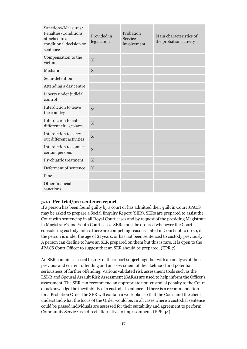| Sanctions/Measures/<br>Penalties/Conditions<br>attached to a<br>conditional decision or<br>sentence | Provided in<br>legislation | Probation<br>Service<br>involvement | Main characteristics of<br>the probation activity |
|-----------------------------------------------------------------------------------------------------|----------------------------|-------------------------------------|---------------------------------------------------|
| Compensation to the<br>victim                                                                       | $\overline{X}$             |                                     |                                                   |
| Mediation                                                                                           | X                          |                                     |                                                   |
| Semi-detention                                                                                      |                            |                                     |                                                   |
| Attending a day centre                                                                              |                            |                                     |                                                   |
| Liberty under judicial<br>control                                                                   |                            |                                     |                                                   |
| Interdiction to leave<br>the country                                                                | $\overline{X}$             |                                     |                                                   |
| Interdiction to enter<br>different cities/places                                                    | X                          |                                     |                                                   |
| Interdiction to carry<br>out different activities                                                   | X                          |                                     |                                                   |
| Interdiction to contact<br>certain persons                                                          | X                          |                                     |                                                   |
| Psychiatric treatment                                                                               | $\mathbf X$                |                                     |                                                   |
| Deferment of sentence                                                                               | X                          |                                     |                                                   |
| Fine                                                                                                |                            |                                     |                                                   |
| Other financial<br>sanctions                                                                        |                            |                                     |                                                   |

#### **5.1.1 Pre-trial/pre-sentence report**

If a person has been found guilty by a court or has admitted their guilt in Court JPACS may be asked to prepare a Social Enquiry Report (SER). SERs are prepared to assist the Court with sentencing in all Royal Court cases and by request of the presiding Magistrate in Magistrate's and Youth Court cases. SERs must be ordered whenever the Court is considering custody unless there are compelling reasons stated in Court not to do so, if the person is under the age of 21 years, or has not been sentenced to custody previously. A person can decline to have an SER prepared on them but this is rare. It is open to the JPACS Court Officer to suggest that an SER should be prepared. (EPR 7)

An SER contains a social history of the report subject together with an analysis of their previous and current offending and an assessment of the likelihood and potential seriousness of further offending. Various validated risk assessment tools such as the LSI-R and Spousal Assault Risk Assessment (SARA) are used to help inform the Officer's assessment. The SER can recommend an appropriate non-custodial penalty to the Court or acknowledge the inevitability of a custodial sentence. If there is a recommendation for a Probation Order the SER will contain a work plan so that the Court and the client understand what the focus of the Order would be. In all cases where a custodial sentence could be passed individuals are assessed for their suitability and agreement to perform Community Service as a direct alternative to imprisonment. (EPR 44)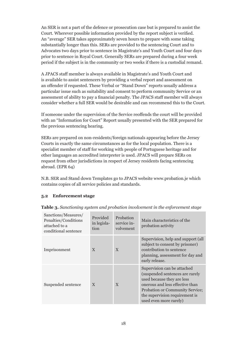An SER is not a part of the defence or prosecution case but is prepared to assist the Court. Wherever possible information provided by the report subject is verified. An "average" SER takes approximately seven hours to prepare with some taking substantially longer than this. SERs are provided to the sentencing Court and to Advocates two days prior to sentence in Magistrate's and Youth Court and four days prior to sentence in Royal Court. Generally SERs are prepared during a four week period if the subject is in the community or two weeks if there is a custodial remand.

A JPACS staff member is always available in Magistrate's and Youth Court and is available to assist sentencers by providing a verbal report and assessment on an offender if requested. These Verbal or "Stand Down" reports usually address a particular issue such as suitability and consent to perform community Service or an assessment of ability to pay a financial penalty. The JPACS staff member will always consider whether a full SER would be desirable and can recommend this to the Court.

If someone under the supervision of the Service reoffends the court will be provided with an "Information for Court" Report usually presented with the SER prepared for the previous sentencing hearing.

SERs are prepared on non-residents/foreign nationals appearing before the Jersey Courts in exactly the same circumstances as for the local population. There is a specialist member of staff for working with people of Portuguese heritage and for other languages an accredited interpreter is used. JPACS will prepare SERs on request from other jurisdictions in respect of Jersey residents facing sentencing abroad. (EPR 64)

N.B. SER and Stand down Templates go to JPACS website www.probation.je which contains copies of all service policies and standards.

#### **5.2 Enforcement stage**

| Sanctions/Measures/<br>Penalties/Conditions<br>attached to a<br>conditional sentence | Provided<br>in legisla-<br>tion | Probation<br>service in-<br>volvement | Main characteristics of the<br>probation activity                                                                                                                                                                              |
|--------------------------------------------------------------------------------------|---------------------------------|---------------------------------------|--------------------------------------------------------------------------------------------------------------------------------------------------------------------------------------------------------------------------------|
| Imprisonment                                                                         | $\mathbf{X}$                    | X                                     | Supervision, help and support (all<br>subject to consent by prisoner)<br>contribution to sentence<br>planning, assessment for day and<br>early release.                                                                        |
| Suspended sentence                                                                   | $\mathbf{X}$                    | $\mathbf{X}$                          | Supervision can be attached<br>(suspended sentences are rarely<br>used because they are less<br>onerous and less effective than<br>Probation or Community Service;<br>the supervision requirement is<br>used even more rarely) |

**Table 3.** *Sanctioning system and probation involvement in the enforcement stage*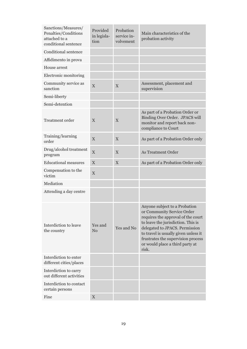| Sanctions/Measures/<br>Penalties/Conditions<br>attached to a<br>conditional sentence | Provided<br>in legisla-<br>tion | Probation<br>service in-<br>volvement | Main characteristics of the<br>probation activity                                                                                                                                                                                                                                                   |
|--------------------------------------------------------------------------------------|---------------------------------|---------------------------------------|-----------------------------------------------------------------------------------------------------------------------------------------------------------------------------------------------------------------------------------------------------------------------------------------------------|
| Conditional sentence                                                                 |                                 |                                       |                                                                                                                                                                                                                                                                                                     |
| Affidimento in prova                                                                 |                                 |                                       |                                                                                                                                                                                                                                                                                                     |
| House arrest                                                                         |                                 |                                       |                                                                                                                                                                                                                                                                                                     |
| Electronic monitoring                                                                |                                 |                                       |                                                                                                                                                                                                                                                                                                     |
| Community service as<br>sanction                                                     | X                               | X                                     | Assessment, placement and<br>supervision                                                                                                                                                                                                                                                            |
| Semi-liberty                                                                         |                                 |                                       |                                                                                                                                                                                                                                                                                                     |
| Semi-detention                                                                       |                                 |                                       |                                                                                                                                                                                                                                                                                                     |
| Treatment order                                                                      | X                               | X                                     | As part of a Probation Order or<br>Binding Over Order. JPACS will<br>monitor and report back non-<br>compliance to Court                                                                                                                                                                            |
| Training/learning<br>order                                                           | $\mathbf X$                     | $\mathbf X$                           | As part of a Probation Order only                                                                                                                                                                                                                                                                   |
| Drug/alcohol treatment<br>program                                                    | $\boldsymbol{\mathrm{X}}$       | X                                     | As Treatment Order                                                                                                                                                                                                                                                                                  |
| <b>Educational measures</b>                                                          | $\mathbf X$                     | $\mathbf X$                           | As part of a Probation Order only                                                                                                                                                                                                                                                                   |
| Compensation to the<br>victim                                                        | $\boldsymbol{\mathrm{X}}$       |                                       |                                                                                                                                                                                                                                                                                                     |
| Mediation                                                                            |                                 |                                       |                                                                                                                                                                                                                                                                                                     |
| Attending a day centre                                                               |                                 |                                       |                                                                                                                                                                                                                                                                                                     |
| Interdiction to leave<br>the country                                                 | Yes and<br>N <sub>o</sub>       | Yes and No                            | Anyone subject to a Probation<br>or Community Service Order<br>requires the approval of the court<br>to leave the jurisdiction. This is<br>delegated to JPACS. Permission<br>to travel is usually given unless it<br>frustrates the supervision process<br>or would place a third party at<br>risk. |
| Interdiction to enter<br>different cities/places                                     |                                 |                                       |                                                                                                                                                                                                                                                                                                     |
| Interdiction to carry<br>out different activities                                    |                                 |                                       |                                                                                                                                                                                                                                                                                                     |
| Interdiction to contact<br>certain persons                                           |                                 |                                       |                                                                                                                                                                                                                                                                                                     |
| Fine                                                                                 | X                               |                                       |                                                                                                                                                                                                                                                                                                     |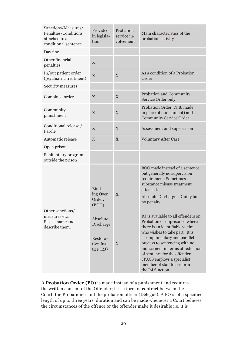| Sanctions/Measures/<br>Penalties/Conditions<br>attached to a<br>conditional sentence | Provided<br>in legisla-<br>tion                                                                     | Probation<br>service in-<br>volvement | Main characteristics of the<br>probation activity                                                                                                                                                                                                                                                                                                                                                                                                                                                                                                       |
|--------------------------------------------------------------------------------------|-----------------------------------------------------------------------------------------------------|---------------------------------------|---------------------------------------------------------------------------------------------------------------------------------------------------------------------------------------------------------------------------------------------------------------------------------------------------------------------------------------------------------------------------------------------------------------------------------------------------------------------------------------------------------------------------------------------------------|
| Day fine                                                                             |                                                                                                     |                                       |                                                                                                                                                                                                                                                                                                                                                                                                                                                                                                                                                         |
| Other financial<br>penalties                                                         | X                                                                                                   |                                       |                                                                                                                                                                                                                                                                                                                                                                                                                                                                                                                                                         |
| In/out patient order<br>(psychiatric treatment)                                      | $\mathbf X$                                                                                         | X                                     | As a condition of a Probation<br>Order.                                                                                                                                                                                                                                                                                                                                                                                                                                                                                                                 |
| Security measures                                                                    |                                                                                                     |                                       |                                                                                                                                                                                                                                                                                                                                                                                                                                                                                                                                                         |
| Combined order                                                                       | X                                                                                                   | X                                     | Probation and Community<br>Service Order only                                                                                                                                                                                                                                                                                                                                                                                                                                                                                                           |
| Community<br>punishment                                                              | X                                                                                                   | X                                     | Probation Order (N.B. made<br>in place of punishment) and<br><b>Community Service Order</b>                                                                                                                                                                                                                                                                                                                                                                                                                                                             |
| Conditional release /<br>Parole                                                      | X                                                                                                   | $\mathbf X$                           | Assessment and supervision                                                                                                                                                                                                                                                                                                                                                                                                                                                                                                                              |
| Automatic release                                                                    | X                                                                                                   | $\mathbf X$                           | <b>Voluntary After Care</b>                                                                                                                                                                                                                                                                                                                                                                                                                                                                                                                             |
| Open prison                                                                          |                                                                                                     |                                       |                                                                                                                                                                                                                                                                                                                                                                                                                                                                                                                                                         |
| Penitentiary program<br>outside the prison                                           |                                                                                                     |                                       |                                                                                                                                                                                                                                                                                                                                                                                                                                                                                                                                                         |
| Other sanctions/<br>measures etc.<br>Please name and<br>describe them.               | Bind-<br>ing Over<br>Order.<br>(BOO)<br>Absolute<br>Discharge<br>Restora-<br>tive Jus-<br>tice (RJ) | X<br>X                                | BOO made instead of a sentence<br>but generally no supervision<br>requirement. Sometimes<br>substance misuse treatment<br>attached.<br>Absolute Discharge – Guilty but<br>no penalty.<br>RJ is available to all offenders on<br>Probation or imprisoned where<br>there is an identifiable victim<br>who wishes to take part. It is<br>a complimentary and parallel<br>process to sentencing with no<br>inducement in terms of reduction<br>of sentence for the offender.<br>JPACS employs a specialist<br>member of staff to perform<br>the RJ function |

**A Probation Order (PO)** is made instead of a punishment and requires the written consent of the Offender; it is a form of contract between the Court, the Probationer and the probation officer (Délégué). A PO is of a specified length of up to three years' duration and can be made whenever a Court believes the circumstances of the offence or the offender make it desirable i.e. it is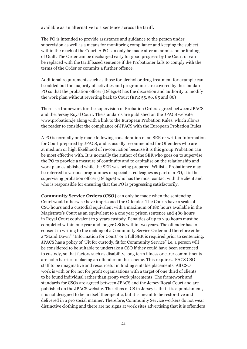available as an alternative to a sentence across the tariff.

The PO is intended to provide assistance and guidance to the person under supervision as well as a means for monitoring compliance and keeping the subject within the reach of the Court. A PO can only be made after an admission or finding of Guilt. The Order can be discharged early for good progress by the Court or can be replaced with the tariff based sentence if the Probationer fails to comply with the terms of the Order or commits a further offence.

Additional requirements such as those for alcohol or drug treatment for example can be added but the majority of activities and programmes are covered by the standard PO so that the probation officer (Délégué) has the discretion and authority to modify the work plan without reverting back to Court (EPR 55, 56, 85 and 86)

There is a framework for the supervision of Probation Orders agreed between JPACS and the Jersey Royal Court. The standards are published on the JPACS website www.probation.je along with a link to the European Probation Rules. which allows the reader to consider the compliance of JPACS with the European Probation Rules

A PO is normally only made following consideration of an SER or written Information for Court prepared by JPACS, and is usually recommended for Offenders who are at medium or high likelihood of re-conviction because it is this group Probation can be most effective with. It is normally the author of the SER who goes on to supervise the PO to provide a measure of continuity and to capitalise on the relationship and work plan established while the SER was being prepared. Whilst a Probationer may be referred to various programmes or specialist colleagues as part of a PO, it is the supervising probation officer (Délégué) who has the most contact with the client and who is responsible for ensuring that the PO is progressing satisfactorily.

**Community Service Orders (CSO)** can only be made when the sentencing Court would otherwise have imprisoned the Offender. The Courts have a scale of CSO hours and a custodial equivalent with a maximum of 180 hours available in the Magistrate's Court as an equivalent to a one year prison sentence and 480 hours in Royal Court equivalent to 3 years custody. Penalties of up to 240 hours must be completed within one year and longer CSOs within two years. The offender has to consent in writing to the making of a Community Service Order and therefore either a "Stand Down" "Information for Court" or a full SER is required prior to sentencing. JPACS has a policy of "Fit for custody, fit for Community Service" i.e. a person will be considered to be suitable to undertake a CSO if they could have been sentenced to custody, so that factors such as disability, long term illness or carer commitments are not a barrier to placing an offender on the scheme. This requires JPACS CSO staff to be imaginative and resourceful in finding suitable placements. All CSO work is with or for not for profit organisations with a target of one third of clients to be found individual rather than group work placements. The framework and standards for CSOs are agreed between JPACS and the Jersey Royal Court and are published on the JPACS website. The ethos of CS in Jersey is that it is a punishment, it is not designed to be in itself therapeutic, but it is meant to be restorative and delivered in a pro social manner. Therefore, Community Service workers do not wear distinctive clothing and there are no signs at work sites advertising that it is offenders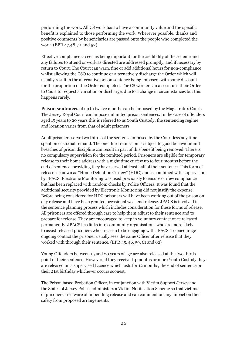performing the work. All CS work has to have a community value and the specific benefit is explained to those performing the work. Wherever possible, thanks and positive comments by beneficiaries are passed onto the people who completed the work. (EPR 47,48, 51 and 52)

Effective compliance is seen as being important for the credibility of the scheme and any failures to attend or work as directed are addressed promptly, and if necessary by return to Court. The Court can warn, fine or add additional hours for non-compliance whilst allowing the CSO to continue or alternatively discharge the Order which will usually result in the alternative prison sentence being imposed, with some discount for the proportion of the Order completed. The CS worker can also return their Order to Court to request a variation or discharge, due to a change in circumstances but this happens rarely.

**Prison sentences** of up to twelve months can be imposed by the Magistrate's Court. The Jersey Royal Court can impose unlimited prison sentences. In the case of offenders aged 15 years to 20 years this is referred to as Youth Custody; the sentencing regime and location varies from that of adult prisoners.

Adult prisoners serve two thirds of the sentence imposed by the Court less any time spent on custodial remand. The one third remission is subject to good behaviour and breaches of prison discipline can result in part of this benefit being removed. There is no compulsory supervision for the remitted period. Prisoners are eligible for temporary release to their home address with a night time curfew up to four months before the end of sentence, providing they have served at least half of their sentence. This form of release is known as "Home Detention Curfew" (HDC) and is combined with supervision by JPACS. Electronic Monitoring was used previously to ensure curfew compliance but has been replaced with random checks by Police Officers. It was found that the additional security provided by Electronic Monitoring did not justify the expense. Before being considered for HDC prisoners will have been working out of the prison on day release and have been granted occasional weekend release. JPACS is involved in the sentence planning process which includes consideration for these forms of release. All prisoners are offered through care to help them adjust to their sentence and to prepare for release. They are encouraged to keep in voluntary contact once released permanently. JPACS has links into community organisations who are more likely to assist released prisoners who are seen to be engaging with JPACS. To encourage ongoing contact the prisoner usually sees the same Officer after release that they worked with through their sentence. (EPR 45, 46, 59, 61 and 62)

Young Offenders between 15 and 20 years of age are also released at the two thirds point of their sentence. However, if they received 4 months or more Youth Custody they are released on a supervised Licence which lasts for 12 months, the end of sentence or their 21st birthday whichever occurs soonest.

The Prison based Probation Officer, in conjunction with Victim Support Jersey and the States of Jersey Police, administers a Victim Notification Scheme so that victims of prisoners are aware of impending release and can comment on any impact on their safety from proposed arrangements.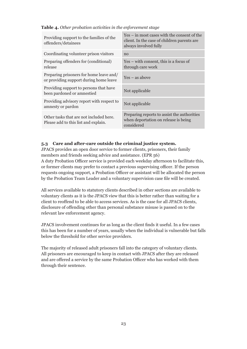**Table 4.** *Other probation activities in the enforcement stage*

| Providing support to the families of the<br>offenders/detainees                   | Yes – in most cases with the consent of the<br>client. In the case of children parents are<br>always involved fully |
|-----------------------------------------------------------------------------------|---------------------------------------------------------------------------------------------------------------------|
| Coordinating volunteer prison visitors                                            | no                                                                                                                  |
| Preparing offenders for (conditional)<br>release                                  | $Yes - with consent, this is a focus of$<br>through care work                                                       |
| Preparing prisoners for home leave and/<br>or providing support during home leave | $Yes - as above$                                                                                                    |
| Providing support to persons that have<br>been pardoned or amnestied              | Not applicable                                                                                                      |
| Providing advisory report with respect to<br>amnesty or pardon                    | Not applicable                                                                                                      |
| Other tasks that are not included here.<br>Please add to this list and explain.   | Preparing reports to assist the authorities<br>when deportation on release is being<br>considered                   |

#### **5.3 Care and after-care outside the criminal justice system.**

JPACS provides an open door service to former clients, prisoners, their family members and friends seeking advice and assistance. (EPR 56)

A duty Probation Officer service is provided each weekday afternoon to facilitate this, or former clients may prefer to contact a previous supervising officer. If the person requests ongoing support, a Probation Officer or assistant will be allocated the person by the Probation Team Leader and a voluntary supervision case file will be created.

All services available to statutory clients described in other sections are available to voluntary clients as it is the JPACS view that this is better rather than waiting for a client to reoffend to be able to access services. As is the case for all JPACS clients, disclosure of offending other than personal substance misuse is passed on to the relevant law enforcement agency.

JPACS involvement continues for as long as the client finds it useful. In a few cases this has been for a number of years, usually when the individual is vulnerable but falls below the threshold for other service providers.

The majority of released adult prisoners fall into the category of voluntary clients. All prisoners are encouraged to keep in contact with JPACS after they are released and are offered a service by the same Probation Officer who has worked with them through their sentence.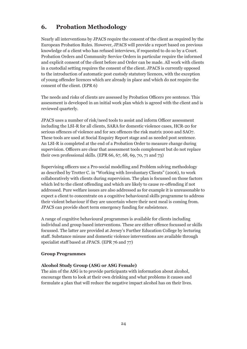# **6. Probation Methodology**

Nearly all interventions by JPACS require the consent of the client as required by the European Probation Rules. However, JPACS will provide a report based on previous knowledge of a client who has refused interviews, if requested to do so by a Court. Probation Orders and Community Service Orders in particular require the informed and explicit consent of the client before and Order can be made. All work with clients in a custodial setting requires the consent of the client. JPACS is currently opposed to the introduction of automatic post custody statutory licences, with the exception of young offender licences which are already in place and which do not require the consent of the client. (EPR 6)

The needs and risks of clients are assessed by Probation Officers pre sentence. This assessment is developed in an initial work plan which is agreed with the client and is reviewed quarterly.

JPACS uses a number of risk/need tools to assist and inform Officer assessment including the LSI-R for all clients, SARA for domestic violence cases, HCR-20 for serious offences of violence and for sex offences the risk matrix 2000 and SAO7. These tools are used at Social Enquiry Report stage and as needed post sentence. An LSI-R is completed at the end of a Probation Order to measure change during supervision. Officers are clear that assessment tools complement but do not replace their own professional skills. (EPR 66, 67, 68, 69, 70, 71 and 73)

Supervising officers use a Pro-social modelling and Problem solving methodology as described by Trotter C. in "Working with Involuntary Clients" (2006), to work collaboratively with clients during supervision. The plan is focussed on those factors which led to the client offending and which are likely to cause re-offending if not addressed. Pure welfare issues are also addressed as for example it is unreasonable to expect a client to concentrate on a cognitive behavioural skills programme to address their violent behaviour if they are uncertain where their next meal is coming from. JPACS can provide short term emergency funding for subsistence.

A range of cognitive behavioural programmes is available for clients including individual and group based interventions. These are either offence focussed or skills focussed. The latter are provided at Jersey's Further Education College by lecturing staff. Substance misuse and domestic violence interventions are available through specialist staff based at JPACS. (EPR 76 and 77)

#### **Group Programmes**

#### **Alcohol Study Group (ASG or ASG Female)**

The aim of the ASG is to provide participants with information about alcohol, encourage them to look at their own drinking and what problems it causes and formulate a plan that will reduce the negative impact alcohol has on their lives.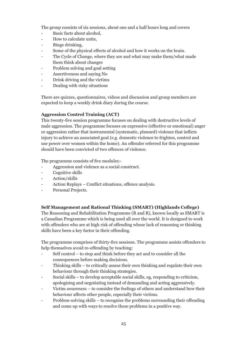The group consists of six sessions, about one and a half hours long and covers

- Basic facts about alcohol,
- How to calculate units,
- Binge drinking.
- Some of the physical effects of alcohol and how it works on the brain.
- The Cycle of Change, where they are and what may make them/what made them think about changes
- Problem solving and goal setting
- Assertiveness and saying No
- Drink driving and the victims
- Dealing with risky situations

There are quizzes, questionnaires, videos and discussion and group members are expected to keep a weekly drink diary during the course.

#### **Aggression Control Training (ACT)**

This twenty-five session programme focuses on dealing with destructive levels of male aggression. The programme focuses on expressive (effective or emotional) anger or aggression rather that instrumental (systematic, planned) violence that inflicts injury to achieve an associated goal (e.g. domestic violence to frighten, control and use power over women within the home). An offender referred for this programme should have been convicted of two offences of violence.

The programme consists of five modules:-

- Aggression and violence as a social construct.
- Cognitive skills
- Action/skills
- Action Replays Conflict situations, offence analysis.
- Personal Projects.

#### **Self Management and Rational Thinking (SMART) (Highlands College)**

The Reasoning and Rehabilitation Programme (R and R), known locally as SMART is a Canadian Programme which is being used all over the world. It is designed to work with offenders who are at high risk of offending whose lack of reasoning or thinking skills have been a key factor in their offending.

The programme comprises of thirty-five sessions. The programme assists offenders to help themselves avoid re-offending by teaching:

- Self control to stop and think before they act and to consider all the consequences before making decisions.
- Thinking skills to critically assess their own thinking and regulate their own behaviour through their thinking strategies.
- Social skills to develop acceptable social skills, eg, responding to criticism, apologising and negotiating instead of demanding and acting aggressively.
- Victim awareness to consider the feelings of others and understand how their behaviour affects other people, especially their victims.
- Problem-solving skills to recognise the problems surrounding their offending and come up with ways to resolve these problems in a positive way.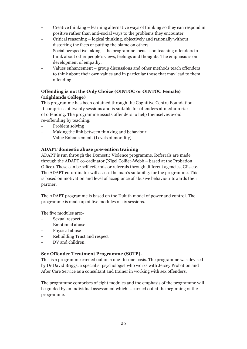- Creative thinking learning alternative ways of thinking so they can respond in positive rather than anti-social ways to the problems they encounter.
- Critical reasoning logical thinking, objectively and rationally without distorting the facts or putting the blame on others.
- Social perspective taking the programme focus is on teaching offenders to think about other people's views, feelings and thoughts. The emphasis is on development of empathy.
- Values enhancement group discussions and other methods teach offenders to think about their own values and in particular those that may lead to them offending.

#### **Offending is not the Only Choice (OINTOC or OINTOC Female) (Highlands College)**

This programme has been obtained through the Cognitive Centre Foundation. It comprises of twenty sessions and is suitable for offenders at medium risk of offending. The programme assists offenders to help themselves avoid re-offending by teaching:

- Problem solving
- Making the link between thinking and behaviour
- Value Enhancement. (Levels of morality).

#### **ADAPT domestic abuse prevention training**

ADAPT is run through the Domestic Violence programme. Referrals are made through the ADAPT co-ordinator (Nigel Collier-Webb – based at the Probation Office). These can be self-referrals or referrals through different agencies, GPs etc. The ADAPT co-ordinator will assess the man's suitability for the programme. This is based on motivation and level of acceptance of abusive behaviour towards their partner.

The ADAPT programme is based on the Duluth model of power and control. The programme is made up of five modules of six sessions.

The five modules are:-

- Sexual respect
- Emotional abuse
- Physical abuse
- Rebuilding Trust and respect
- DV and children.

#### **Sex Offender Treatment Programme (SOTP).**

This is a programme carried out on a one–to-one basis. The programme was devised by Dr David Briggs, a specialist psychologist who works with Jersey Probation and After Care Service as a consultant and trainer in working with sex offenders.

The programme comprises of eight modules and the emphasis of the programme will be guided by an individual assessment which is carried out at the beginning of the programme.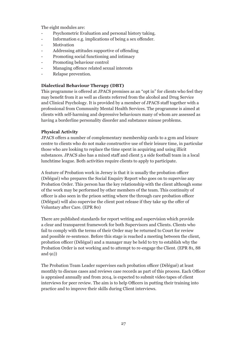The eight modules are:

- Psychometric Evaluation and personal history taking.
- Information e.g. implications of being a sex offender.
- **Motivation**
- Addressing attitudes supportive of offending
- Promoting social functioning and intimacy
- Promoting behaviour control
- Managing offence related sexual interests
- Relapse prevention.

#### **Dialectical Behaviour Therapy (DBT)**

This programme is offered at JPACS premises as an "opt in" for clients who feel they may benefit from it as well as clients referred from the alcohol and Drug Service and Clinical Psychology. It is provided by a member of JPACS staff together with a professional from Community Mental Health Services. The programme is aimed at clients with self-harming and depressive behaviours many of whom are assessed as having a borderline personality disorder and substance misuse problems.

#### **Physical Activity**

JPACS offers a number of complementary membership cards to a gym and leisure centre to clients who do not make constructive use of their leisure time, in particular those who are looking to replace the time spent in acquiring and using illicit substances. JPACS also has a mixed staff and client 5 a side football team in a local lunchtime league. Both activities require clients to apply to participate.

A feature of Probation work in Jersey is that it is usually the probation officer (Délégué) who prepares the Social Enquiry Report who goes on to supervise any Probation Order. This person has the key relationship with the client although some of the work may be performed by other members of the team. This continuity of officer is also seen in the prison setting where the through care probation officer (Délégué) will also supervise the client post release if they take up the offer of Voluntary after Care. (EPR 80)

There are published standards for report writing and supervision which provide a clear and transparent framework for both Supervisors and Clients. Clients who fail to comply with the terms of their Order may be returned to Court for review and possible re-sentence. Before this stage is reached a meeting between the client, probation officer (Délégué) and a manager may be held to try to establish why the Probation Order is not working and to attempt to re-engage the Client. (EPR 81, 88 and 91))

The Probation Team Leader supervises each probation officer (Délégué) at least monthly to discuss cases and reviews case records as part of this process. Each Officer is appraised annually and from 2014, is expected to submit video tapes of client interviews for peer review. The aim is to help Officers in putting their training into practice and to improve their skills during Client interviews.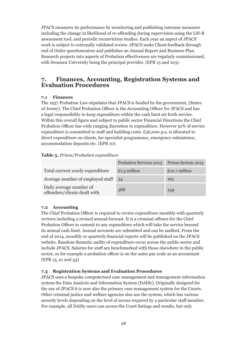JPACS measures its performance by monitoring and publishing outcome measures including the change in likelihood of re-offending during supervision using the LSI-R assessment tool, and periodic reconviction studies. Each year an aspect of JPACS' work is subject to externally validated review. JPACS seeks Client feedback through end of Order questionnaires and publishes an Annual Report and Business Plan. Research projects into aspects of Probation effectiveness are regularly commissioned, with Swansea University being the principal provider. (EPR 15 and 103).

### **7. Finances, Accounting, Registration Systems and Evaluation Procedures**

#### **7.1 Finances**

The 1937 Probation Law stipulates that JPACS is funded by the government, (States of Jersey). The Chief Probation Officer is the Accounting Officer for JPACS and has a legal responsibility to keep expenditure within the cash limit set forth service. Within this overall figure and subject to public sector Financial Directions the Chief Probation Officer has wide ranging discretion re expenditure. However 91% of service expenditure is committed to staff and building costs.  $\pounds$ 56,000 p.a. is allocated to direct expenditure on clients, for specialist programmes, emergency subsistence, accommodation deposits etc. (EPR 10)

#### **Table 5.** *Prison/Probation expenditure*

|                                                         | Probation Services 2013 | Prison System 2013 |
|---------------------------------------------------------|-------------------------|--------------------|
| Total current yearly expenditure                        | £1.5 million            | £10.7 million      |
| Average number of employed staff                        | 34                      | 165                |
| Daily average number of<br>offenders/clients dealt with | 388                     | 159                |

#### **7.2 Accounting**

The Chief Probation Officer is required to review expenditure monthly with quarterly reviews including a revised annual forecast. It is a criminal offence for the Chief Probation Officer to commit to any expenditure which will take the service beyond its annual cash limit. Annual accounts are submitted and can be audited. From the end of 2014, monthly or quarterly financial reports will be published on the JPACS website. Random thematic audits of expenditure occur across the public sector and include JPACS. Salaries for staff are benchmarked with those elsewhere in the public sector, so for example a probation officer is on the same pay scale as an accountant (EPR 15, 21 and 33)

#### **7.3 Registration Systems and Evaluation Procedures**

JPACS uses a bespoke computerised case management and management information system the Data Analysis and Information System (DAISy). Originally designed for the use of JPACS it is now also the primary case management system for the Courts. Other criminal justice and welfare agencies also use the system, which has various security levels depending on the level of access required by a particular staff member. For example, all DAISy users can access the Court listings and results, but only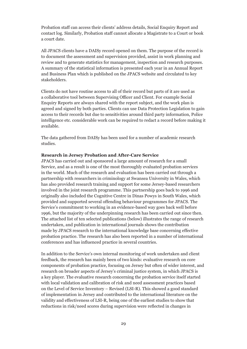Probation staff can access their clients' address details, Social Enquiry Report and contact log. Similarly, Probation staff cannot allocate a Magistrate to a Court or book a court date.

All JPACS clients have a DAISy record opened on them. The purpose of the record is to document the assessment and supervision provided, assist in work planning and review and to generate statistics for management, inspection and research purposes. A summary of the statistical information is presented each year in an Annual Report and Business Plan which is published on the JPACS website and circulated to key stakeholders.

Clients do not have routine access to all of their record but parts of it are used as a collaborative tool between Supervising Officer and Client. For example Social Enquiry Reports are always shared with the report subject, and the work plan is agreed and signed by both parties. Clients can use Data Protection Legislation to gain access to their records but due to sensitivities around third party information, Police intelligence etc. considerable work can be required to redact a record before making it available.

The data gathered from DAISy has been used for a number of academic research studies.

#### **Research in Jersey Probation and After-Care Service**

JPACS has carried out and sponsored a large amount of research for a small Service, and as a result is one of the most thoroughly evaluated probation services in the world. Much of the research and evaluation has been carried out through a partnership with researchers in criminology at Swansea University in Wales, which has also provided research training and support for some Jersey-based researchers involved in the joint research programme. This partnership goes back to 1996 and originally also included the Cognitive Centre in Dinas Powys in South Wales, which provided and supported several offending behaviour programmes for JPACS. The Service's commitment to working in an evidence-based way goes back well before 1996, but the majority of the underpinning research has been carried out since then. The attached list of ten selected publications (below) illustrates the range of research undertaken, and publication in international journals shows the contribution made by JPACS research to the international knowledge base concerning effective probation practice. The research has also been reported in a number of international conferences and has influenced practice in several countries.

In addition to the Service's own internal monitoring of work undertaken and client feedback, the research has mainly been of two kinds: evaluative research on core components of probation practice, focusing on Jersey but often of wider interest, and research on broader aspects of Jersey's criminal justice system, in which JPACS is a key player. The evaluative research concerning the probation service itself started with local validation and calibration of risk and need assessment practices based on the Level of Service Inventory – Revised (LSI-R). This showed a good standard of implementation in Jersey and contributed to the international literature on the validity and effectiveness of LSI-R, being one of the earliest studies to show that reductions in risk/need scores during supervision were reflected in changes in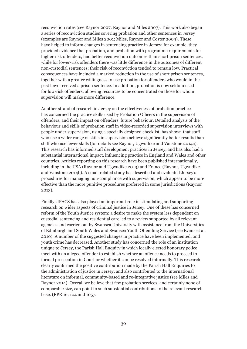reconviction rates (see Raynor 2007; Raynor and Miles 2007). This work also began a series of reconviction studies covering probation and other sentences in Jersey (examples are Raynor and Miles 2001; Miles, Raynor and Coster 2009). These have helped to inform changes in sentencing practice in Jersey; for example, they provided evidence that probation, and probation with programme requirements for higher risk offenders, had better reconviction outcomes than short prison sentences, while for lower-risk offenders there was little difference in the outcomes of different non-custodial sentences; their risk of reconviction tended to remain low. Practical consequences have included a marked reduction in the use of short prison sentences, together with a greater willingness to use probation for offenders who would in the past have received a prison sentence. In addition, probation is now seldom used for low-risk offenders, allowing resources to be concentrated on those for whom supervision will make more difference.

Another strand of research in Jersey on the effectiveness of probation practice has concerned the practice skills used by Probation Officers in the supervision of offenders, and their impact on offenders' future behaviour. Detailed analysis of the behaviour and skills of probation staff in video-recorded supervision interviews with people under supervision, using a specially designed checklist, has shown that staff who use a wider range of skills in supervision achieve significantly better results than staff who use fewer skills (for details see Raynor, Ugwudike and Vanstone 2014a). This research has informed staff development practices in Jersey, and has also had a substantial international impact, influencing practice in England and Wales and other countries. Articles reporting on this research have been published internationally, including in the USA (Raynor and Ugwudike 2013) and France (Raynor, Ugwudike and Vanstone 2014b). A small related study has described and evaluated Jersey's procedures for managing non-compliance with supervision, which appear to be more effective than the more punitive procedures preferred in some jurisdictions (Raynor 2013).

Finally, JPACS has also played an important role in stimulating and supporting research on wider aspects of criminal justice in Jersey. One of these has concerned reform of the Youth Justice system: a desire to make the system less dependent on custodial sentencing and residential care led to a review supported by all relevant agencies and carried out by Swansea University with assistance from the Universities of Edinburgh and South Wales and Swansea Youth Offending Service (see Evans et al. 2010). A number of the suggested changes in practice have been implemented, and youth crime has decreased. Another study has concerned the role of an institution unique to Jersey, the Parish Hall Enquiry in which locally elected honorary police meet with an alleged offender to establish whether an offence needs to proceed to formal prosecution in Court or whether it can be resolved informally. This research clearly confirmed the positive contribution made by the Parish Hall Enquiries to the administration of justice in Jersey, and also contributed to the international literature on informal, community-based and re-integrative justice (see Miles and Raynor 2014). Overall we believe that few probation services, and certainly none of comparable size, can point to such substantial contributions to the relevant research base. (EPR 16, 104 and 105).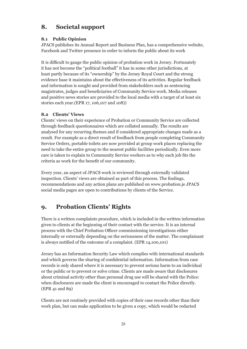# **8. Societal support**

#### **8.1 Public Opinion**

JPACS publishes its Annual Report and Business Plan, has a comprehensive website, Facebook and Twitter presence in order to inform the public about its work

It is difficult to gauge the public opinion of probation work in Jersey. Fortunately it has not become the "political football" it has in some other jurisdictions, at least partly because of its "ownership" by the Jersey Royal Court and the strong evidence base it maintains about the effectiveness of its activities. Regular feedback and information is sought and provided from stakeholders such as sentencing magistrates, judges and beneficiaries of Community Service work. Media releases and positive news stories are provided to the local media with a target of at least six stories each year.(EPR 17, 106,107 and 108))

#### **8.2 Clients' Views**

Clients' views on their experience of Probation or Community Service are collected through feedback questionnaires which are collated annually. The results are analysed for any recurring themes and if considered appropriate changes made as a result. For example as a direct result of feedback from people completing Community Service Orders, portable toilets are now provided at group work places replacing the need to take the entire group to the nearest public facilities periodically. Even more care is taken to explain to Community Service workers as to why each job fits the criteria as work for the benefit of our community.

Every year, an aspect of JPACS work is reviewed through externally validated inspection. Clients' views are obtained as part of this process. The findings, recommendations and any action plans are published on www.probation.je JPACS social media pages are open to contributions by clients of the Service.

# **9. Probation Clients' Rights**

There is a written complaints procedure, which is included in the written information given to clients at the beginning of their contact with the service. It is an internal process with the Chief Probation Officer commissioning investigations either internally or externally depending on the seriousness of the matter. The complainant is always notified of the outcome of a complaint. (EPR 14,100,101)

Jersey has an Information Security Law which complies with international standards and which governs the sharing of confidential information. Information from case records is only shared where it is necessary to prevent serious harm to an individual or the public or to prevent or solve crime. Clients are made aware that disclosures about criminal activity other than personal drug use will be shared with the Police: when disclosures are made the client is encouraged to contact the Police directly. (EPR 41 and 89)

Clients are not routinely provided with copies of their case records other than their work plan, but can make application to be given a copy, which would be redacted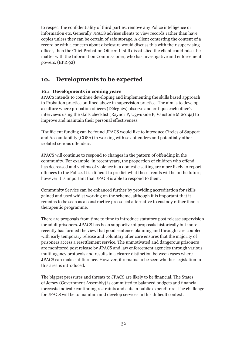to respect the confidentiality of third parties, remove any Police intelligence or information etc. Generally JPACS advises clients to view records rather than have copies unless they can be certain of safe storage. A client contesting the content of a record or with a concern about disclosure would discuss this with their supervising officer, then the Chief Probation Officer. If still dissatisfied the client could raise the matter with the Information Commissioner, who has investigative and enforcement powers. (EPR 92)

### **10. Developments to be expected**

#### **10.1 Developments in coming years**

JPACS intends to continue developing and implementing the skills based approach to Probation practice outlined above in supervision practice. The aim is to develop a culture where probation officers (Délégués) observe and critique each other's interviews using the skills checklist (Raynor P, Ugwukide P, Vanstone M 2014a) to improve and maintain their personal effectiveness.

If sufficient funding can be found JPACS would like to introduce Circles of Support and Accountability (COSA) in working with sex offenders and potentially other isolated serious offenders.

JPACS will continue to respond to changes in the pattern of offending in the community. For example, in recent years, the proportion of children who offend has decreased and victims of violence in a domestic setting are more likely to report offences to the Police. It is difficult to predict what these trends will be in the future, however it is important that JPACS is able to respond to them.

Community Service can be enhanced further by providing accreditation for skills gained and used whilst working on the scheme, although it is important that it remains to be seen as a constructive pro-social alternative to custody rather than a therapeutic programme.

There are proposals from time to time to introduce statutory post release supervision for adult prisoners. JPACS has been supportive of proposals historically but more recently has formed the view that good sentence planning and through care coupled with early temporary release and voluntary after care ensures that the majority of prisoners access a resettlement service. The unmotivated and dangerous prisoners are monitored post release by JPACS and law enforcement agencies through various multi-agency protocols and results in a clearer distinction between cases where JPACS can make a difference. However, it remains to be seen whether legislation in this area is introduced.

The biggest pressures and threats to JPACS are likely to be financial. The States of Jersey (Government Assembly) is committed to balanced budgets and financial forecasts indicate continuing restraints and cuts in public expenditure. The challenge for JPACS will be to maintain and develop services in this difficult context.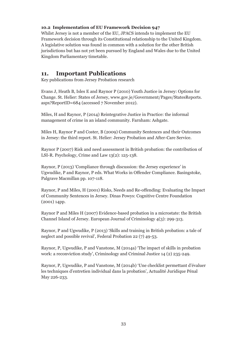#### **10.2 Implementation of EU Framework Decision 947**

Whilst Jersey is not a member of the EU, JPACS intends to implement the EU Framework decision through its Constitutional relationship to the United Kingdom. A legislative solution was found in common with a solution for the other British jurisdictions but has not yet been pursued by England and Wales due to the United Kingdom Parliamentary timetable.

### **11. Important Publications**

Key publications from Jersey Probation research

Evans J, Heath B, Isles E and Raynor P (2010) Youth Justice in Jersey: Options for Change. St. Helier: States of Jersey, www.gov.je/Government/Pages/StatesReports. aspx?ReportID=684 (accessed 7 November 2012).

Miles, H and Raynor, P (2014) Reintegrative Justice in Practice: the informal management of crime in an island community. Farnham: Ashgate.

Miles H, Raynor P and Coster, B (2009) Community Sentences and their Outcomes in Jersey: the third report. St. Helier: Jersey Probation and After-Care Service.

Raynor P (2007) Risk and need assessment in British probation: the contribution of LSI-R. Psychology, Crime and Law 13(2): 125-138.

Raynor, P (2013) 'Compliance through discussion: the Jersey experience' in Ugwudike, P and Raynor, P eds. What Works in Offender Compliance. Basingstoke, Palgrave Macmillan pp. 107-118.

Raynor, P and Miles, H (2001) Risks, Needs and Re-offending: Evaluating the Impact of Community Sentences in Jersey. Dinas Powys: Cognitive Centre Foundation (2001) 14pp.

Raynor P and Miles H (2007) Evidence-based probation in a microstate: the British Channel Island of Jersey. European Journal of Criminology 4(3): 299-313.

Raynor, P and Ugwudike, P (2013) 'Skills and training in British probation: a tale of neglect and possible revival', Federal Probation 22 (7) 49-53.

Raynor, P, Ugwudike, P and Vanstone, M (2014a) 'The impact of skills in probation work: a reconviction study', Criminology and Criminal Justice 14 (2) 235-249.

Raynor, P, Ugwudike, P and Vanstone, M (2014b) 'Une checklist permettant d'évaluer les techniques d'entretien individual dans la probation', Actualité Juridique Pénal May 226-233.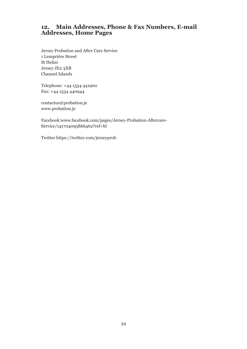# **12. Main Addresses, Phone & Fax Numbers, E-mail Addresses, Home Pages**

Jersey Probation and After Care Service 1 Lemprière Street St Helier Jersey JE2 3XB Channel Islands

Telephone: +44 1534 441900 Fax: +44 1534 440944

contactus@probation.je www.probation.je

Facebook:www.facebook.com/pages/Jersey-Probation-Aftercare-Service/141704095866462?ref=hl

Twitter https://twitter.com/jerseyprob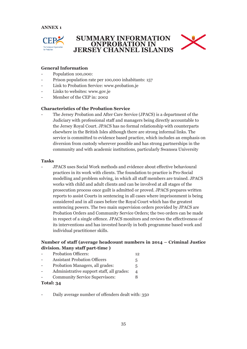

### **SUMMARY INFORMATION ONPROBATION IN JERSEY CHANNEL ISLANDS**



#### **General Information**

- Population 100,000:
- Prison population rate per 100,000 inhabitants: 157
- Link to Probation Service: www.probation.je
- Links to websites: www.gov.je
- Member of the CEP in: 2002

#### **Characteristics of the Probation Service**

The Jersey Probation and After Care Service (JPACS) is a department of the Judiciary with professional staff and managers being directly accountable to the Jersey Royal Court. JPACS has no formal relationship with counterparts elsewhere in the British Isles although there are strong informal links. The service is committed to evidence based practice, which includes an emphasis on diversion from custody wherever possible and has strong partnerships in the community and with academic institutions, particularly Swansea University

#### **Tasks**

- JPACS uses Social Work methods and evidence about effective behavioural practices in its work with clients. The foundation to practice is Pro-Social modelling and problem solving, in which all staff members are trained. JPACS works with child and adult clients and can be involved at all stages of the prosecution process once guilt is admitted or proved. JPACS prepares written reports to assist Courts in sentencing in all cases where imprisonment is being considered and in all cases before the Royal Court which has the greatest sentencing powers. The two main supervision orders provided by JPACS are Probation Orders and Community Service Orders; the two orders can be made in respect of a single offence. JPACS monitors and reviews the effectiveness of its interventions and has invested heavily in both programme based work and individual practitioner skills.

#### **Number of staff (average headcount numbers in 2014 – Criminal Justice division. Many staff part-time )**

|           | <b>Probation Officers:</b>                | 12 |
|-----------|-------------------------------------------|----|
|           | <b>Assistant Probation Officers</b>       | 5  |
|           | Probation Managers, all grades:           | 5  |
|           | Administrative support staff, all grades: |    |
|           | <b>Community Service Supervisors:</b>     |    |
| Total: 34 |                                           |    |

- Daily average number of offenders dealt with: 350